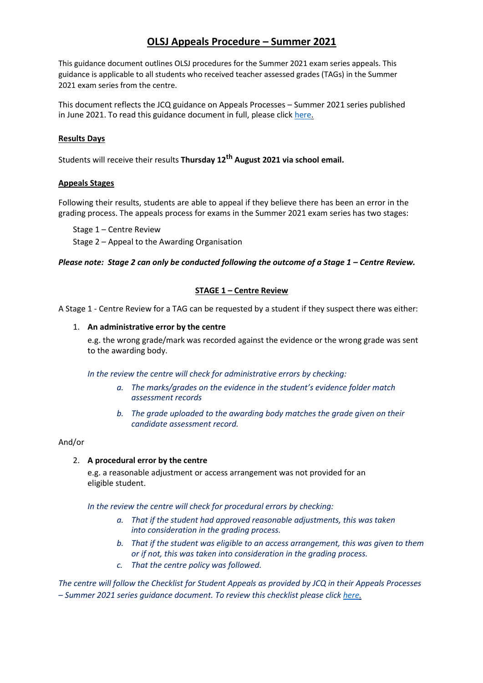# **OLSJ Appeals Procedure – Summer 2021**

This guidance document outlines OLSJ procedures for the Summer 2021 exam series appeals. This guidance is applicable to all students who received teacher assessed grades (TAGs) in the Summer 2021 exam series from the centre.

This document reflects the JCQ guidance on Appeals Processes – Summer 2021 series published in June 2021. To read this guidance document in full, please click [here.](https://www.jcq.org.uk/wp-content/uploads/2021/06/JCQ_Appeals-Guidance_Summer-2021.pdf)

### **Results Days**

Students will receive their results **Thursday 12th August 2021 via school email.**

#### **Appeals Stages**

Following their results, students are able to appeal if they believe there has been an error in the grading process. The appeals process for exams in the Summer 2021 exam series has two stages:

Stage 1 – Centre Review

Stage 2 – Appeal to the Awarding Organisation

#### *Please note: Stage 2 can only be conducted following the outcome of a Stage 1 – Centre Review.*

## **STAGE 1 – Centre Review**

A Stage 1 - Centre Review for a TAG can be requested by a student if they suspect there was either:

#### 1. **An administrative error by the centre**

e.g. the wrong grade/mark was recorded against the evidence or the wrong grade was sent to the awarding body.

*In the review the centre will check for administrative errors by checking:*

- *a. The marks/grades on the evidence in the student's evidence folder match assessment records*
- *b. The grade uploaded to the awarding body matches the grade given on their candidate assessment record.*

## And/or

#### 2. **A procedural error by the centre**

e.g. a reasonable adjustment or access arrangement was not provided for an eligible student.

*In the review the centre will check for procedural errors by checking:*

- *a. That if the student had approved reasonable adjustments, this was taken into consideration in the grading process.*
- *b. That if the student was eligible to an access arrangement, this was given to them or if not, this was taken into consideration in the grading process.*
- *c. That the centre policy was followed.*

*The centre will follow the Checklist for Student Appeals as provided by JCQ in their Appeals Processes – Summer 2021 series guidance document. To review this checklist please click [here.](https://www.jcq.org.uk/wp-content/uploads/2021/06/JCQ_Appeals-Guidance_Summer-2021_Appendix-C.pdf)*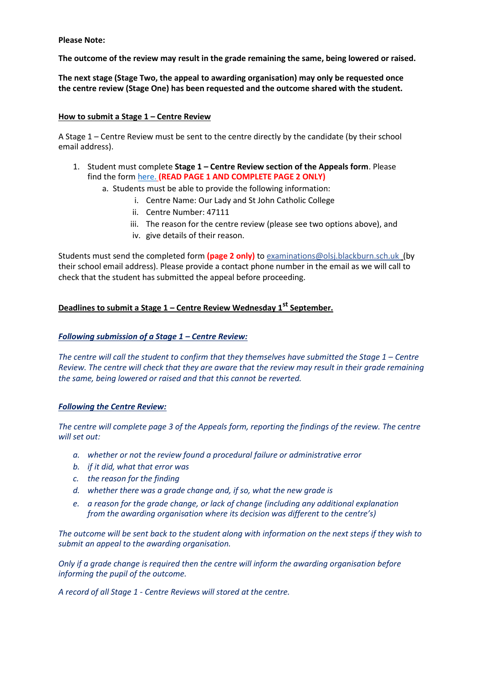**Please Note:**

**The outcome of the review may result in the grade remaining the same, being lowered or raised.**

**The next stage (Stage Two, the appeal to awarding organisation) may only be requested once the centre review (Stage One) has been requested and the outcome shared with the student.**

### **How to submit a Stage 1 – Centre Review**

A Stage 1 – Centre Review must be sent to the centre directly by the candidate (by their school email address).

- 1. Student must complete **Stage 1 – Centre Review section of the Appeals form**. Please find the form [here.](https://0e58658be539ee7325a0-220f04f871df648cf4a4d93a111e3366.ssl.cf3.rackcdn.com/wembley_tech/uploads/document/Student-Appeals-Form-Centre-Review-dates-updated.pdf?ts=1625484405052) **(READ PAGE 1 AND COMPLETE PAGE 2 ONLY)**
	- a. Students must be able to provide the following information:
		- i. Centre Name: Our Lady and St John Catholic College
		- ii. Centre Number: 47111
		- iii. The reason for the centre review (please see two options above), and
		- iv. give details of their reason.

Students must send the completed form **(page 2 only)** to [examinations@olsj.blackburn.sch.uk](mailto:examinations@olsj.blackburn.sch.uk) [\(](mailto:exams@whtc.co.uk)by their school email address). Please provide a contact phone number in the email as we will call to check that the student has submitted the appeal before proceeding.

## **Deadlines to submit a Stage 1 – Centre Review Wednesday 1st September.**

#### *Following submission of a Stage 1 – Centre Review:*

*The centre will call the student to confirm that they themselves have submitted the Stage 1 – Centre Review. The centre will check that they are aware that the review may result in their grade remaining the same, being lowered or raised and that this cannot be reverted.*

#### *Following the Centre Review:*

*The centre will complete page 3 of the Appeals form, reporting the findings of the review. The centre will set out:*

- *a. whether or not the review found a procedural failure or administrative error*
- *b. if it did, what that error was*
- *c. the reason for the finding*
- *d. whether there was a grade change and, if so, what the new grade is*
- *e. a reason for the grade change, or lack of change (including any additional explanation from the awarding organisation where its decision was different to the centre's)*

*The outcome will be sent back to the student along with information on the next steps if they wish to submit an appeal to the awarding organisation.*

*Only if a grade change is required then the centre will inform the awarding organisation before informing the pupil of the outcome.*

*A record of all Stage 1 - Centre Reviews will stored at the centre.*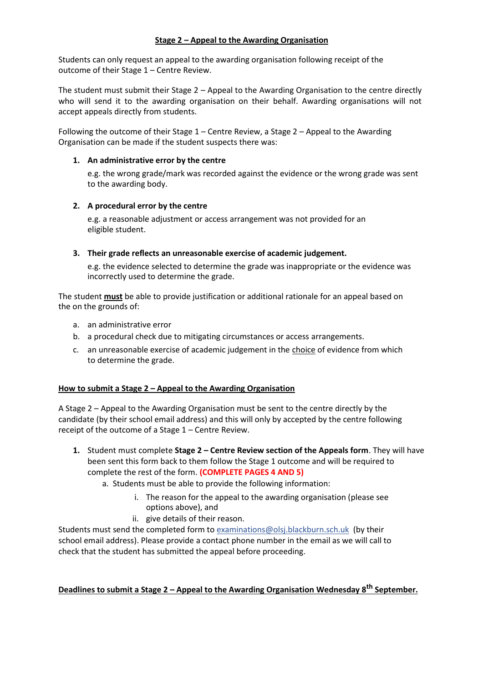## **Stage 2 – Appeal to the Awarding Organisation**

Students can only request an appeal to the awarding organisation following receipt of the outcome of their Stage 1 – Centre Review.

The student must submit their Stage 2 – Appeal to the Awarding Organisation to the centre directly who will send it to the awarding organisation on their behalf. Awarding organisations will not accept appeals directly from students.

Following the outcome of their Stage 1 – Centre Review, a Stage 2 – Appeal to the Awarding Organisation can be made if the student suspects there was:

### **1. An administrative error by the centre**

e.g. the wrong grade/mark was recorded against the evidence or the wrong grade was sent to the awarding body.

## **2. A procedural error by the centre**

e.g. a reasonable adjustment or access arrangement was not provided for an eligible student.

## **3. Their grade reflects an unreasonable exercise of academic judgement.**

e.g. the evidence selected to determine the grade was inappropriate or the evidence was incorrectly used to determine the grade.

The student **must** be able to provide justification or additional rationale for an appeal based on the on the grounds of:

- a. an administrative error
- b. a procedural check due to mitigating circumstances or access arrangements.
- c. an unreasonable exercise of academic judgement in the choice of evidence from which to determine the grade.

#### **How to submit a Stage 2 – Appeal to the Awarding Organisation**

A Stage 2 – Appeal to the Awarding Organisation must be sent to the centre directly by the candidate (by their school email address) and this will only by accepted by the centre following receipt of the outcome of a Stage 1 – Centre Review.

- **1.** Student must complete **Stage 2 – Centre Review section of the Appeals form**. They will have been sent this form back to them follow the Stage 1 outcome and will be required to complete the rest of the form. **(COMPLETE PAGES 4 AND 5)**
	- a. Students must be able to provide the following information:
		- i. The reason for the appeal to the awarding organisation (please see options above), and
		- ii. give details of their reason.

Students must send the completed form to [examinations@olsj.blackburn.sch.uk](mailto:examinations@olsj.blackburn.sch.uk) (by their school email address). Please provide a contact phone number in the email as we will call to check that the student has submitted the appeal before proceeding.

**Deadlines to submit a Stage 2 – Appeal to the Awarding Organisation Wednesday 8th September.**